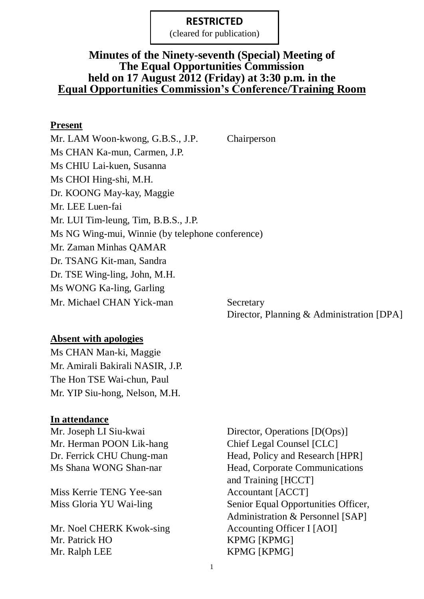(cleared for publication)

## **Minutes of the Ninety-seventh (Special) Meeting of The Equal Opportunities Commission held on 17 August 2012 (Friday) at 3:30 p.m. in the Equal Opportunities Commission's Conference/Training Room**

### **Present**

Mr. LAM Woon-kwong, G.B.S., J.P. Chairperson Ms CHAN Ka-mun, Carmen, J.P. Ms CHIU Lai-kuen, Susanna Ms CHOI Hing-shi, M.H. Dr. KOONG May-kay, Maggie Mr. LEE Luen-fai Mr. LUI Tim-leung, Tim, B.B.S., J.P. Ms NG Wing-mui, Winnie (by telephone conference) Mr. Zaman Minhas QAMAR Dr. TSANG Kit-man, Sandra Dr. TSE Wing-ling, John, M.H. Ms WONG Ka-ling, Garling Mr. Michael CHAN Yick-man Secretary

Director, Planning & Administration [DPA]

## **Absent with apologies**

Ms CHAN Man-ki, Maggie Mr. Amirali Bakirali NASIR, J.P. The Hon TSE Wai-chun, Paul Mr. YIP Siu-hong, Nelson, M.H.

### **In attendance**

Mr. Herman POON Lik-hang Chief Legal Counsel [CLC]

Miss Kerrie TENG Yee-san Accountant [ACCT]

Mr. Noel CHERK Kwok-sing Accounting Officer I [AOI] Mr. Patrick HO KPMG [KPMG] Mr. Ralph LEE KPMG [KPMG]

Mr. Joseph LI Siu-kwai Director, Operations [D(Ops)] Dr. Ferrick CHU Chung-man Head, Policy and Research [HPR] Ms Shana WONG Shan-nar Head, Corporate Communications and Training [HCCT] Miss Gloria YU Wai-ling Senior Equal Opportunities Officer, Administration & Personnel [SAP]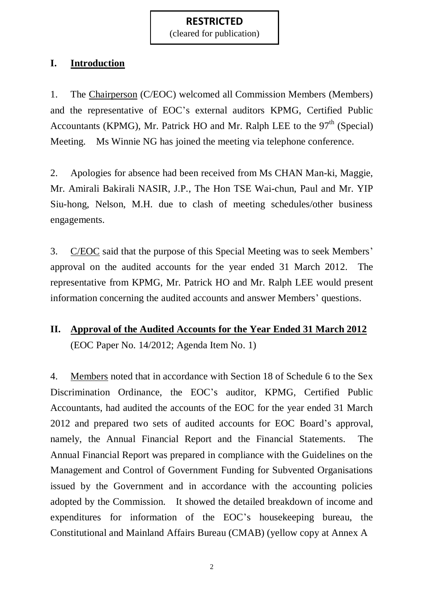(cleared for publication)

### **I. Introduction**

1. The Chairperson (C/EOC) welcomed all Commission Members (Members) and the representative of EOC's external auditors KPMG, Certified Public Accountants (KPMG), Mr. Patrick HO and Mr. Ralph LEE to the  $97<sup>th</sup>$  (Special) Meeting. Ms Winnie NG has joined the meeting via telephone conference.

2. Apologies for absence had been received from Ms CHAN Man-ki, Maggie, Mr. Amirali Bakirali NASIR, J.P., The Hon TSE Wai-chun, Paul and Mr. YIP Siu-hong, Nelson, M.H. due to clash of meeting schedules/other business engagements.

3. C/EOC said that the purpose of this Special Meeting was to seek Members' approval on the audited accounts for the year ended 31 March 2012. The representative from KPMG, Mr. Patrick HO and Mr. Ralph LEE would present information concerning the audited accounts and answer Members' questions.

# **II. Approval of the Audited Accounts for the Year Ended 31 March 2012** (EOC Paper No. 14/2012; Agenda Item No. 1)

4. Members noted that in accordance with Section 18 of Schedule 6 to the Sex Discrimination Ordinance, the EOC's auditor, KPMG, Certified Public Accountants, had audited the accounts of the EOC for the year ended 31 March 2012 and prepared two sets of audited accounts for EOC Board's approval, namely, the Annual Financial Report and the Financial Statements. The Annual Financial Report was prepared in compliance with the Guidelines on the Management and Control of Government Funding for Subvented Organisations issued by the Government and in accordance with the accounting policies adopted by the Commission. It showed the detailed breakdown of income and expenditures for information of the EOC's housekeeping bureau, the Constitutional and Mainland Affairs Bureau (CMAB) (yellow copy at Annex A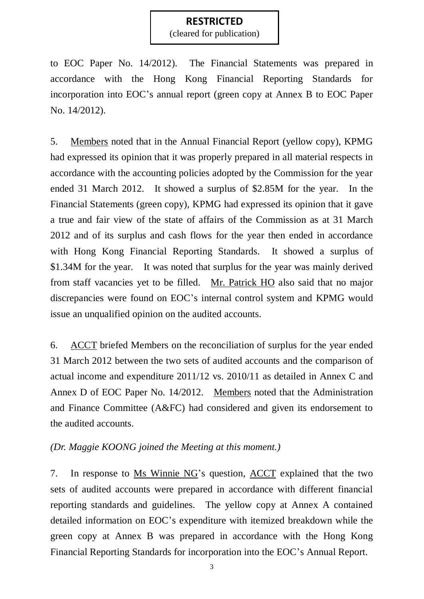(cleared for publication)

to EOC Paper No. 14/2012). The Financial Statements was prepared in accordance with the Hong Kong Financial Reporting Standards for incorporation into EOC's annual report (green copy at Annex B to EOC Paper No. 14/2012).

5. Members noted that in the Annual Financial Report (yellow copy), KPMG had expressed its opinion that it was properly prepared in all material respects in accordance with the accounting policies adopted by the Commission for the year ended 31 March 2012. It showed a surplus of \$2.85M for the year. In the Financial Statements (green copy), KPMG had expressed its opinion that it gave a true and fair view of the state of affairs of the Commission as at 31 March 2012 and of its surplus and cash flows for the year then ended in accordance with Hong Kong Financial Reporting Standards. It showed a surplus of \$1.34M for the year. It was noted that surplus for the year was mainly derived from staff vacancies yet to be filled. Mr. Patrick HO also said that no major discrepancies were found on EOC's internal control system and KPMG would issue an unqualified opinion on the audited accounts.

6. ACCT briefed Members on the reconciliation of surplus for the year ended 31 March 2012 between the two sets of audited accounts and the comparison of actual income and expenditure 2011/12 vs. 2010/11 as detailed in Annex C and Annex D of EOC Paper No. 14/2012. Members noted that the Administration and Finance Committee (A&FC) had considered and given its endorsement to the audited accounts.

#### *(Dr. Maggie KOONG joined the Meeting at this moment.)*

7. In response to Ms Winnie NG's question, ACCT explained that the two sets of audited accounts were prepared in accordance with different financial reporting standards and guidelines. The yellow copy at Annex A contained detailed information on EOC's expenditure with itemized breakdown while the green copy at Annex B was prepared in accordance with the Hong Kong Financial Reporting Standards for incorporation into the EOC's Annual Report.